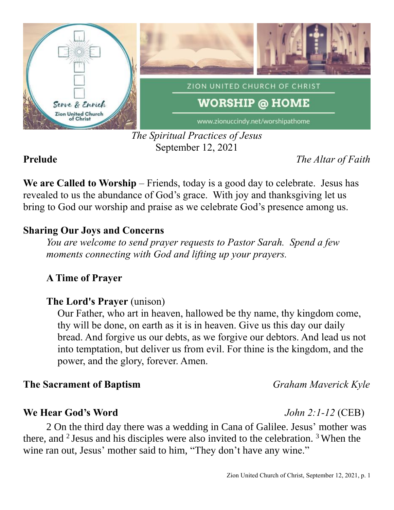

*The Spiritual Practices of Jesus* September 12, 2021

**Prelude** *The Altar of Faith*

**We are Called to Worship** – Friends, today is a good day to celebrate. Jesus has revealed to us the abundance of God's grace. With joy and thanksgiving let us bring to God our worship and praise as we celebrate God's presence among us.

## **Sharing Our Joys and Concerns**

*You are welcome to send prayer requests to Pastor Sarah. Spend a few moments connecting with God and lifting up your prayers.*

# **A Time of Prayer**

# **The Lord's Prayer** (unison)

Our Father, who art in heaven, hallowed be thy name, thy kingdom come, thy will be done, on earth as it is in heaven. Give us this day our daily bread. And forgive us our debts, as we forgive our debtors. And lead us not into temptation, but deliver us from evil. For thine is the kingdom, and the power, and the glory, forever. Amen.

### **The Sacrament of Baptism** *Graham Maverick Kyle*

#### **We Hear God's Word** *John 2:1-12* (CEB)

2 On the third day there was a wedding in Cana of Galilee. Jesus' mother was there, and  $2$  Jesus and his disciples were also invited to the celebration.  $3$  When the wine ran out, Jesus' mother said to him, "They don't have any wine."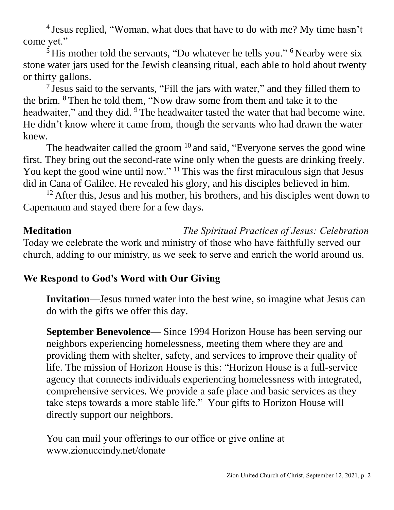<sup>4</sup> Jesus replied, "Woman, what does that have to do with me? My time hasn't come yet."

 $<sup>5</sup>$  His mother told the servants, "Do whatever he tells you." <sup>6</sup> Nearby were six</sup> stone water jars used for the Jewish cleansing ritual, each able to hold about twenty or thirty gallons.

<sup>7</sup> Jesus said to the servants, "Fill the jars with water," and they filled them to the brim. <sup>8</sup> Then he told them, "Now draw some from them and take it to the headwaiter," and they did. <sup>9</sup> The headwaiter tasted the water that had become wine. He didn't know where it came from, though the servants who had drawn the water knew.

The headwaiter called the groom <sup>10</sup> and said, "Everyone serves the good wine first. They bring out the second-rate wine only when the guests are drinking freely. You kept the good wine until now." <sup>11</sup> This was the first miraculous sign that Jesus did in Cana of Galilee. He revealed his glory, and his disciples believed in him.

 $12$  After this, Jesus and his mother, his brothers, and his disciples went down to Capernaum and stayed there for a few days.

### **Meditation** *The Spiritual Practices of Jesus: Celebration* Today we celebrate the work and ministry of those who have faithfully served our church, adding to our ministry, as we seek to serve and enrich the world around us.

# **We Respond to God's Word with Our Giving**

**Invitation—**Jesus turned water into the best wine, so imagine what Jesus can do with the gifts we offer this day.

**September Benevolence**— Since 1994 Horizon House has been serving our neighbors experiencing homelessness, meeting them where they are and providing them with shelter, safety, and services to improve their quality of life. The mission of Horizon House is this: "Horizon House is a full-service agency that connects individuals experiencing homelessness with integrated, comprehensive services. We provide a safe place and basic services as they take steps towards a more stable life." Your gifts to Horizon House will directly support our neighbors.

You can mail your offerings to our office or give online at www.zionuccindy.net/donate